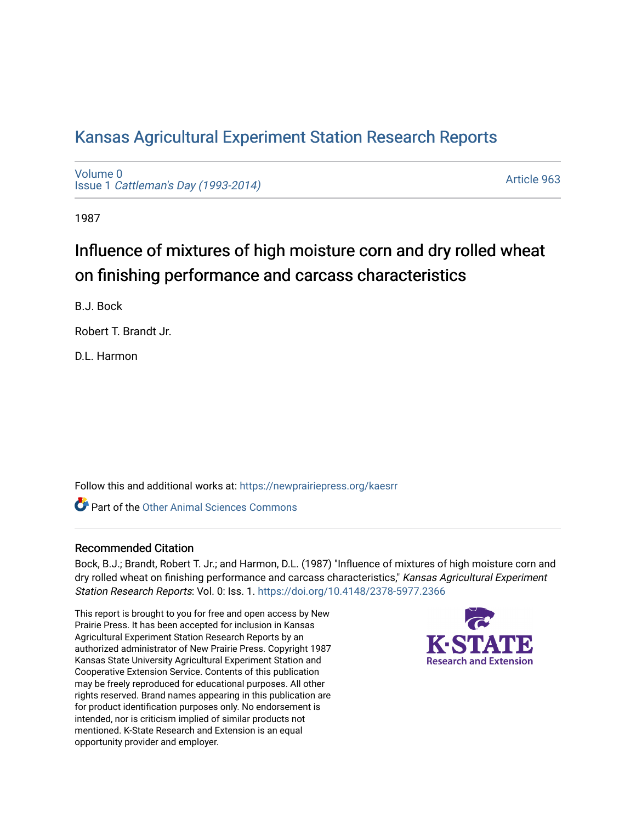## [Kansas Agricultural Experiment Station Research Reports](https://newprairiepress.org/kaesrr)

[Volume 0](https://newprairiepress.org/kaesrr/vol0) Issue 1 [Cattleman's Day \(1993-2014\)](https://newprairiepress.org/kaesrr/vol0/iss1) 

[Article 963](https://newprairiepress.org/kaesrr/vol0/iss1/963) 

1987

# Influence of mixtures of high moisture corn and dry rolled wheat on finishing performance and carcass characteristics

B.J. Bock

Robert T. Brandt Jr.

D.L. Harmon

Follow this and additional works at: [https://newprairiepress.org/kaesrr](https://newprairiepress.org/kaesrr?utm_source=newprairiepress.org%2Fkaesrr%2Fvol0%2Fiss1%2F963&utm_medium=PDF&utm_campaign=PDFCoverPages) 

**C** Part of the [Other Animal Sciences Commons](http://network.bepress.com/hgg/discipline/82?utm_source=newprairiepress.org%2Fkaesrr%2Fvol0%2Fiss1%2F963&utm_medium=PDF&utm_campaign=PDFCoverPages)

#### Recommended Citation

Bock, B.J.; Brandt, Robert T. Jr.; and Harmon, D.L. (1987) "Influence of mixtures of high moisture corn and dry rolled wheat on finishing performance and carcass characteristics," Kansas Agricultural Experiment Station Research Reports: Vol. 0: Iss. 1.<https://doi.org/10.4148/2378-5977.2366>

This report is brought to you for free and open access by New Prairie Press. It has been accepted for inclusion in Kansas Agricultural Experiment Station Research Reports by an authorized administrator of New Prairie Press. Copyright 1987 Kansas State University Agricultural Experiment Station and Cooperative Extension Service. Contents of this publication may be freely reproduced for educational purposes. All other rights reserved. Brand names appearing in this publication are for product identification purposes only. No endorsement is intended, nor is criticism implied of similar products not mentioned. K-State Research and Extension is an equal opportunity provider and employer.

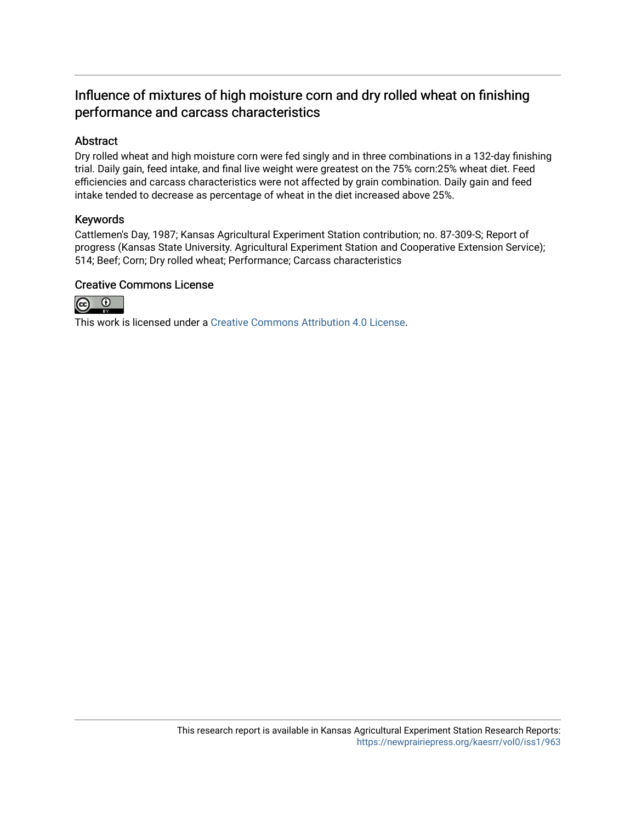### Influence of mixtures of high moisture corn and dry rolled wheat on finishing performance and carcass characteristics

#### Abstract

Dry rolled wheat and high moisture corn were fed singly and in three combinations in a 132-day finishing trial. Daily gain, feed intake, and final live weight were greatest on the 75% corn:25% wheat diet. Feed efficiencies and carcass characteristics were not affected by grain combination. Daily gain and feed intake tended to decrease as percentage of wheat in the diet increased above 25%.

#### Keywords

Cattlemen's Day, 1987; Kansas Agricultural Experiment Station contribution; no. 87-309-S; Report of progress (Kansas State University. Agricultural Experiment Station and Cooperative Extension Service); 514; Beef; Corn; Dry rolled wheat; Performance; Carcass characteristics

#### Creative Commons License



This work is licensed under a [Creative Commons Attribution 4.0 License](https://creativecommons.org/licenses/by/4.0/).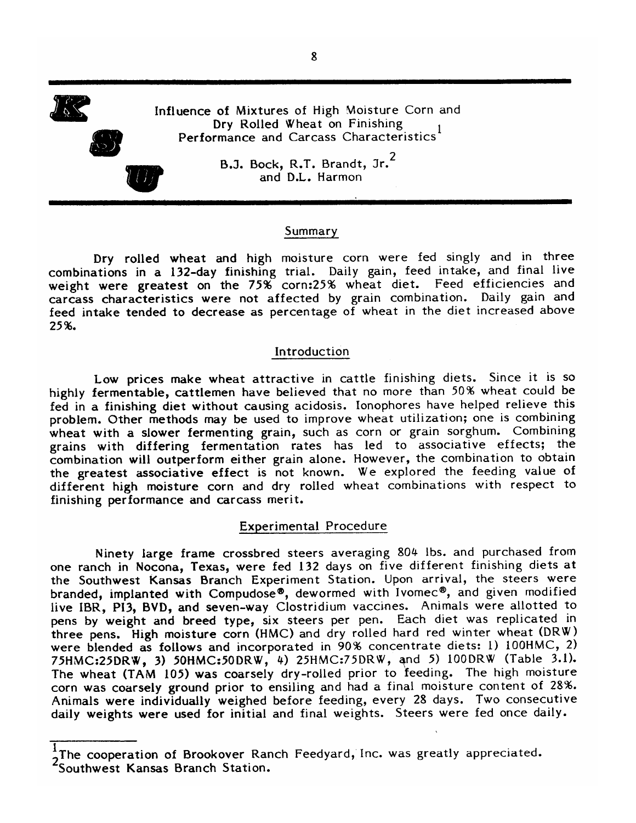Influence of Mixtures of High Moisture Corn and Dry Rolled Wheat on Finishing Performance and Carcass Characteristics<sup>1</sup>



B.J. Bock, R.T. Brandt, Jr.<sup>2</sup> and D.L. Harmon

#### Summary

Dry rolled wheat and high moisture corn were fed singly and in three combinations in a 132-day finishing trial. Daily gain, feed intake, and final live weight were greatest on the 75% corn:25% wheat diet. Feed efficiencies and carcass characteristics were not affected by grain combination. Daily gain and feed intake tended to decrease as percentage of wheat in the diet increased above 25%.

#### Introduction

Low prices make wheat attractive in cattle finishing diets. Since it is so highly fermentable, cattlemen have believed that no more than 50% wheat could be fed in a finishing diet without causing acidosis. Ionophores have helped relieve this problem. Other methods may be used to improve wheat utilization; one is combining wheat with a slower fermenting grain, such as corn or grain sorghum. Combining grains with differing fermentation rates has led to associative effects; the combination will outperform either grain alone. However, the combination to obtain the greatest associative effect is not known. We explored the feeding value of different high moisture corn and dry rolled wheat combinations with respect to finishing performance and carcass merit.

#### **Experimental Procedure**

Ninety large frame crossbred steers averaging 804 lbs. and purchased from one ranch in Nocona, Texas, were fed 132 days on five different finishing diets at the Southwest Kansas Branch Experiment Station. Upon arrival, the steers were branded, implanted with Compudose®, dewormed with Ivomec®, and given modified live IBR, PI3, BVD, and seven-way Clostridium vaccines. Animals were allotted to pens by weight and breed type, six steers per pen. Each diet was replicated in three pens. High moisture corn (HMC) and dry rolled hard red winter wheat (DRW) were blended as follows and incorporated in 90% concentrate diets: 1) 100HMC, 2) 75HMC:25DRW, 3) 50HMC:50DRW, 4) 25HMC:75DRW, and 5) 100DRW (Table 3.1). The wheat (TAM 105) was coarsely dry-rolled prior to feeding. The high moisture corn was coarsely ground prior to ensiling and had a final moisture content of 28%. Animals were individually weighed before feeding, every 28 days. Two consecutive daily weights were used for initial and final weights. Steers were fed once daily.

The cooperation of Brookover Ranch Feedyard, Inc. was greatly appreciated. 250uthwest Kansas Branch Station.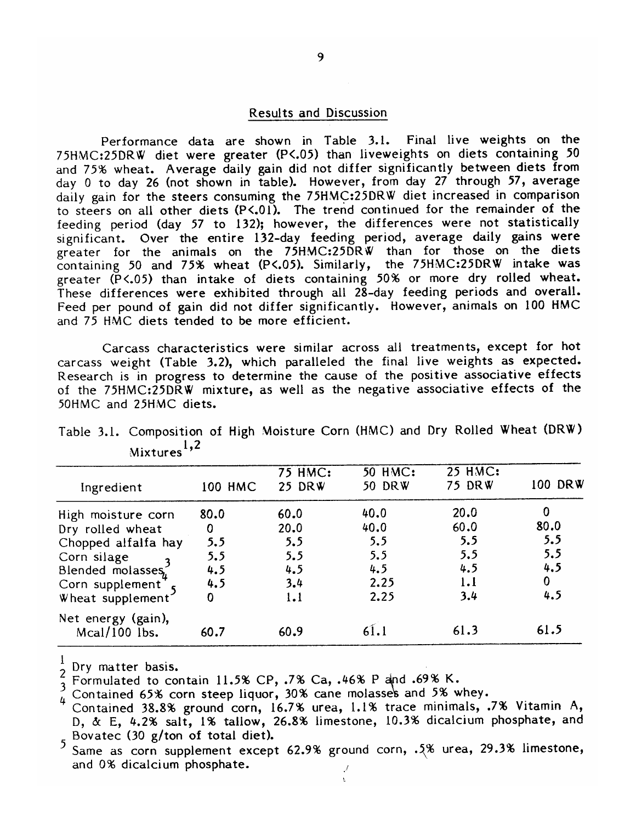#### Results and Discussion

Performance data are shown in Table 3.1. Final live weights on the 75HMC:25DRW diet were greater (P<.05) than liveweights on diets containing 50 and 75% wheat. Average daily gain did not differ significantly between diets from day 0 to day 26 (not shown in table). However, from day 27 through 57, average daily gain for the steers consuming the 75HMC:25DRW diet increased in comparison to steers on all other diets (P<.01). The trend continued for the remainder of the feeding period (day 57 to 132); however, the differences were not statistically significant. Over the entire 132-day feeding period, average daily gains were greater for the animals on the 75HMC:25DRW than for those on the diets<br>containing 50 and 75% wheat (P<.05). Similarly, the 75HMC:25DRW intake was greater (P<.05) than intake of diets containing 50% or more dry rolled wheat. These differences were exhibited through all 28-day feeding periods and overall. Feed per pound of gain did not differ significantly. However, animals on 100 HMC and 75 HMC diets tended to be more efficient.

Carcass characteristics were similar across all treatments, except for hot carcass weight (Table 3.2), which paralleled the final live weights as expected. Research is in progress to determine the cause of the positive associative effects of the 75HMC:25DRW mixture, as well as the negative associative effects of the 50HMC and 25HMC diets.

| Ingredient                          | <b>100 HMC</b> | <b>75 HMC:</b><br>25 DRW | <b>50 HMC:</b><br>50 DRW | <b>25 HMC:</b><br>75 DRW | 100 DRW |
|-------------------------------------|----------------|--------------------------|--------------------------|--------------------------|---------|
| High moisture corn                  | 80.0           | 60.0                     | 40.0                     | 20.0                     |         |
| Dry rolled wheat                    | 0              | 20.0                     | 40.0                     | 60.0                     | 80.0    |
| Chopped alfalfa hay                 | 5.5            | 5.5                      | 5, 5                     | 5.5                      | 5.5     |
| Corn silage                         | 5.5            | 5.5                      | 5.5                      | 5.5                      | 5.5     |
| Blended molasses,                   | 4.5            | 4.5                      | 4.5                      | 4.5                      | 4.5     |
| Corn supplement <sup>T</sup>        | 4.5            | 3.4                      | 2.25                     | 1.1                      | 0       |
| Wheat supplement                    | Ω              | 1.1                      | 2.25                     | 3.4                      | 4.5     |
| Net energy (gain),<br>Mcal/100 lbs. | 60.7           | 60.9                     |                          | 61.3                     | 61.5    |

Table 3.1. Composition of High Moisture Corn (HMC) and Dry Rolled Wheat (DRW) Mixtures<sup>1,2</sup>

 $\frac{1}{2}$  Dry matter basis.

 $\frac{2}{3}$  Formulated to contain 11.5% CP, .7% Ca, .46% P and .69% K.

Contained 65% corn steep liquor, 30% cane molasses and 5% whey.

Contained 38.8% ground corn, 16.7% urea, 1.1% trace minimals, .7% Vitamin A, D, & E, 4.2% salt, 1% tallow, 26.8% limestone, 10.3% dicalcium phosphate, and Bovatec (30 g/ton of total diet).

Same as corn supplement except 62.9% ground corn, .5% urea, 29.3% limestone, and 0% dicalcium phosphate.